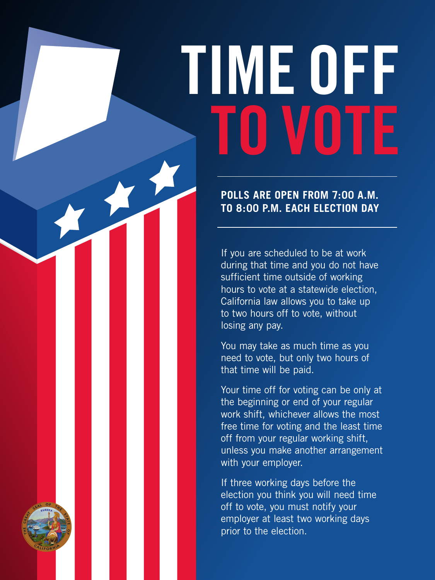## **TIME OFF TO VOTE**

**POLLS ARE OPEN FROM 7:00 A.M. TO 8:00 P.M. EACH ELECTION DAY**

If you are scheduled to be at work during that time and you do not have sufficient time outside of working hours to vote at a statewide election, California law allows you to take up to two hours off to vote, without losing any pay.

You may take as much time as you need to vote, but only two hours of that time will be paid.

Your time off for voting can be only at the beginning or end of your regular work shift, whichever allows the most free time for voting and the least time off from your regular working shift, unless you make another arrangement with your employer.

If three working days before the election you think you will need time off to vote, you must notify your employer at least two working days prior to the election.